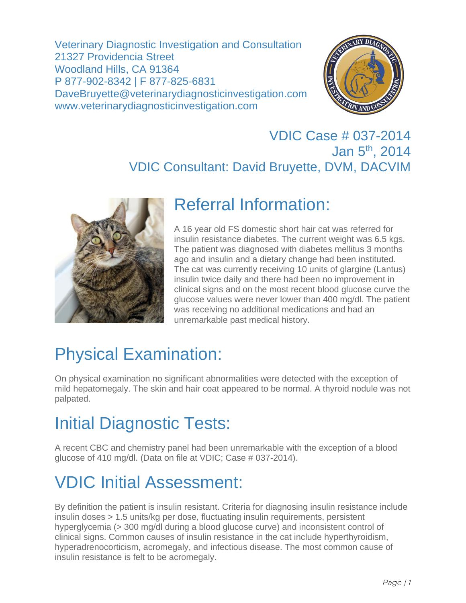Veterinary Diagnostic Investigation and Consultation 21327 Providencia Street Woodland Hills, CA 91364 P 877-902-8342 | F 877-825-6831 DaveBruyette@veterinarydiagnosticinvestigation.com www.veterinarydiagnosticinvestigation.com



#### VDIC Case # 037-2014 Jan 5<sup>th</sup>, 2014 VDIC Consultant: David Bruyette, DVM, DACVIM



### Referral Information:

A 16 year old FS domestic short hair cat was referred for insulin resistance diabetes. The current weight was 6.5 kgs. The patient was diagnosed with diabetes mellitus 3 months ago and insulin and a dietary change had been instituted. The cat was currently receiving 10 units of glargine (Lantus) insulin twice daily and there had been no improvement in clinical signs and on the most recent blood glucose curve the glucose values were never lower than 400 mg/dl. The patient was receiving no additional medications and had an unremarkable past medical history.

# Physical Examination:

On physical examination no significant abnormalities were detected with the exception of mild hepatomegaly. The skin and hair coat appeared to be normal. A thyroid nodule was not palpated.

### Initial Diagnostic Tests:

A recent CBC and chemistry panel had been unremarkable with the exception of a blood glucose of 410 mg/dl. (Data on file at VDIC; Case # 037-2014).

# VDIC Initial Assessment:

By definition the patient is insulin resistant. Criteria for diagnosing insulin resistance include insulin doses > 1.5 units/kg per dose, fluctuating insulin requirements, persistent hyperglycemia (> 300 mg/dl during a blood glucose curve) and inconsistent control of clinical signs. Common causes of insulin resistance in the cat include hyperthyroidism, hyperadrenocorticism, acromegaly, and infectious disease. The most common cause of insulin resistance is felt to be acromegaly.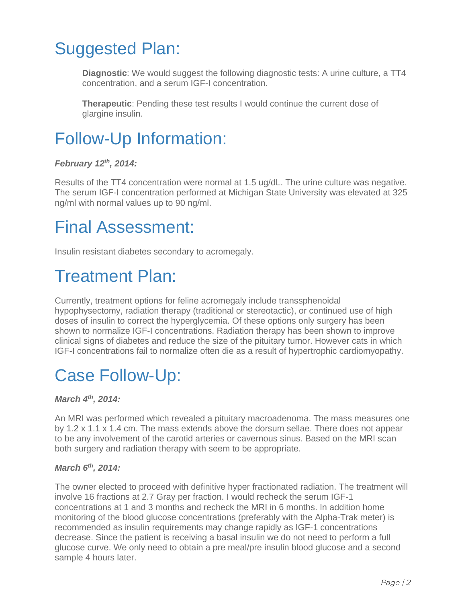### Suggested Plan:

**Diagnostic**: We would suggest the following diagnostic tests: A urine culture, a TT4 concentration, and a serum IGF-I concentration.

**Therapeutic**: Pending these test results I would continue the current dose of glargine insulin.



#### *February 12th, 2014:*

Results of the TT4 concentration were normal at 1.5 ug/dL. The urine culture was negative. The serum IGF-I concentration performed at Michigan State University was elevated at 325 ng/ml with normal values up to 90 ng/ml.

### Final Assessment:

Insulin resistant diabetes secondary to acromegaly.

### Treatment Plan:

Currently, treatment options for feline acromegaly include transsphenoidal hypophysectomy, radiation therapy (traditional or stereotactic), or continued use of high doses of insulin to correct the hyperglycemia. Of these options only surgery has been shown to normalize IGF-I concentrations. Radiation therapy has been shown to improve clinical signs of diabetes and reduce the size of the pituitary tumor. However cats in which IGF-I concentrations fail to normalize often die as a result of hypertrophic cardiomyopathy.

### Case Follow-Up:

#### *March 4th, 2014:*

An MRI was performed which revealed a pituitary macroadenoma. The mass measures one by 1.2 x 1.1 x 1.4 cm. The mass extends above the dorsum sellae. There does not appear to be any involvement of the carotid arteries or cavernous sinus. Based on the MRI scan both surgery and radiation therapy with seem to be appropriate.

#### *March 6th, 2014:*

The owner elected to proceed with definitive hyper fractionated radiation. The treatment will involve 16 fractions at 2.7 Gray per fraction. I would recheck the serum IGF-1 concentrations at 1 and 3 months and recheck the MRI in 6 months. In addition home monitoring of the blood glucose concentrations (preferably with the Alpha-Trak meter) is recommended as insulin requirements may change rapidly as IGF-1 concentrations decrease. Since the patient is receiving a basal insulin we do not need to perform a full glucose curve. We only need to obtain a pre meal/pre insulin blood glucose and a second sample 4 hours later.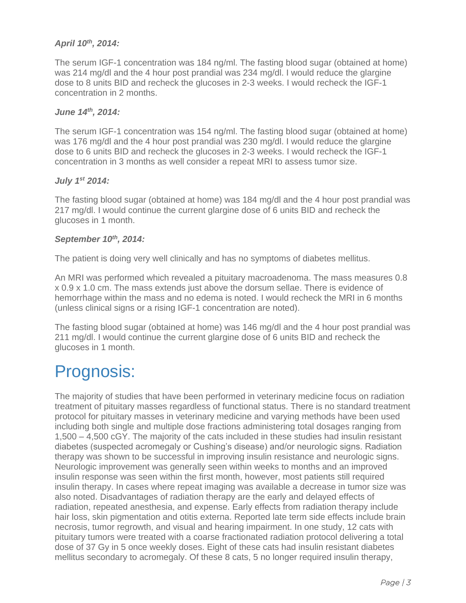#### *April 10th, 2014:*

The serum IGF-1 concentration was 184 ng/ml. The fasting blood sugar (obtained at home) was 214 mg/dl and the 4 hour post prandial was 234 mg/dl. I would reduce the glargine dose to 8 units BID and recheck the glucoses in 2-3 weeks. I would recheck the IGF-1 concentration in 2 months.

#### *June 14th, 2014:*

The serum IGF-1 concentration was 154 ng/ml. The fasting blood sugar (obtained at home) was 176 mg/dl and the 4 hour post prandial was 230 mg/dl. I would reduce the glargine dose to 6 units BID and recheck the glucoses in 2-3 weeks. I would recheck the IGF-1 concentration in 3 months as well consider a repeat MRI to assess tumor size.

#### *July 1st 2014:*

The fasting blood sugar (obtained at home) was 184 mg/dl and the 4 hour post prandial was 217 mg/dl. I would continue the current glargine dose of 6 units BID and recheck the glucoses in 1 month.

#### *September 10th, 2014:*

The patient is doing very well clinically and has no symptoms of diabetes mellitus.

An MRI was performed which revealed a pituitary macroadenoma. The mass measures 0.8 x 0.9 x 1.0 cm. The mass extends just above the dorsum sellae. There is evidence of hemorrhage within the mass and no edema is noted. I would recheck the MRI in 6 months (unless clinical signs or a rising IGF-1 concentration are noted).

The fasting blood sugar (obtained at home) was 146 mg/dl and the 4 hour post prandial was 211 mg/dl. I would continue the current glargine dose of 6 units BID and recheck the glucoses in 1 month.

### Prognosis:

The majority of studies that have been performed in veterinary medicine focus on radiation treatment of pituitary masses regardless of functional status. There is no standard treatment protocol for pituitary masses in veterinary medicine and varying methods have been used including both single and multiple dose fractions administering total dosages ranging from 1,500 – 4,500 cGY. The majority of the cats included in these studies had insulin resistant diabetes (suspected acromegaly or Cushing's disease) and/or neurologic signs. Radiation therapy was shown to be successful in improving insulin resistance and neurologic signs. Neurologic improvement was generally seen within weeks to months and an improved insulin response was seen within the first month, however, most patients still required insulin therapy. In cases where repeat imaging was available a decrease in tumor size was also noted. Disadvantages of radiation therapy are the early and delayed effects of radiation, repeated anesthesia, and expense. Early effects from radiation therapy include hair loss, skin pigmentation and otitis externa. Reported late term side effects include brain necrosis, tumor regrowth, and visual and hearing impairment. In one study, 12 cats with pituitary tumors were treated with a coarse fractionated radiation protocol delivering a total dose of 37 Gy in 5 once weekly doses. Eight of these cats had insulin resistant diabetes mellitus secondary to acromegaly. Of these 8 cats, 5 no longer required insulin therapy,